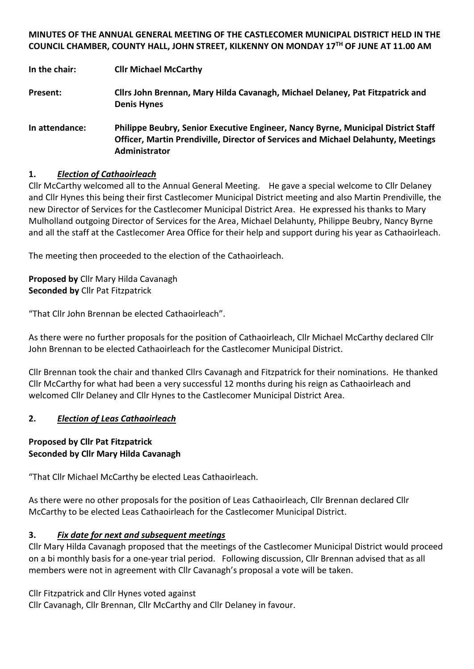**MINUTES OF THE ANNUAL GENERAL MEETING OF THE CASTLECOMER MUNICIPAL DISTRICT HELD IN THE COUNCIL CHAMBER, COUNTY HALL, JOHN STREET, KILKENNY ON MONDAY 17TH OF JUNE AT 11.00 AM**

**In the chair: Cllr Michael McCarthy**

**Present: Cllrs John Brennan, Mary Hilda Cavanagh, Michael Delaney, Pat Fitzpatrick and Denis Hynes**

**In attendance: Philippe Beubry, Senior Executive Engineer, Nancy Byrne, Municipal District Staff Officer, Martin Prendiville, Director of Services and Michael Delahunty, Meetings Administrator**

## **1.** *Election of Cathaoirleach*

Cllr McCarthy welcomed all to the Annual General Meeting. He gave a special welcome to Cllr Delaney and Cllr Hynes this being their first Castlecomer Municipal District meeting and also Martin Prendiville, the new Director of Services for the Castlecomer Municipal District Area. He expressed his thanks to Mary Mulholland outgoing Director of Services for the Area, Michael Delahunty, Philippe Beubry, Nancy Byrne and all the staff at the Castlecomer Area Office for their help and support during his year as Cathaoirleach.

The meeting then proceeded to the election of the Cathaoirleach.

**Proposed by** Cllr Mary Hilda Cavanagh **Seconded by** Cllr Pat Fitzpatrick

"That Cllr John Brennan be elected Cathaoirleach".

As there were no further proposals for the position of Cathaoirleach, Cllr Michael McCarthy declared Cllr John Brennan to be elected Cathaoirleach for the Castlecomer Municipal District.

Cllr Brennan took the chair and thanked Cllrs Cavanagh and Fitzpatrick for their nominations. He thanked Cllr McCarthy for what had been a very successful 12 months during his reign as Cathaoirleach and welcomed Cllr Delaney and Cllr Hynes to the Castlecomer Municipal District Area.

### **2.** *Election of Leas Cathaoirleach*

## **Proposed by Cllr Pat Fitzpatrick Seconded by Cllr Mary Hilda Cavanagh**

"That Cllr Michael McCarthy be elected Leas Cathaoirleach.

As there were no other proposals for the position of Leas Cathaoirleach, Cllr Brennan declared Cllr McCarthy to be elected Leas Cathaoirleach for the Castlecomer Municipal District.

### **3.** *Fix date for next and subsequent meetings*

Cllr Mary Hilda Cavanagh proposed that the meetings of the Castlecomer Municipal District would proceed on a bi monthly basis for a one-year trial period. Following discussion, Cllr Brennan advised that as all members were not in agreement with Cllr Cavanagh's proposal a vote will be taken.

Cllr Fitzpatrick and Cllr Hynes voted against

Cllr Cavanagh, Cllr Brennan, Cllr McCarthy and Cllr Delaney in favour.